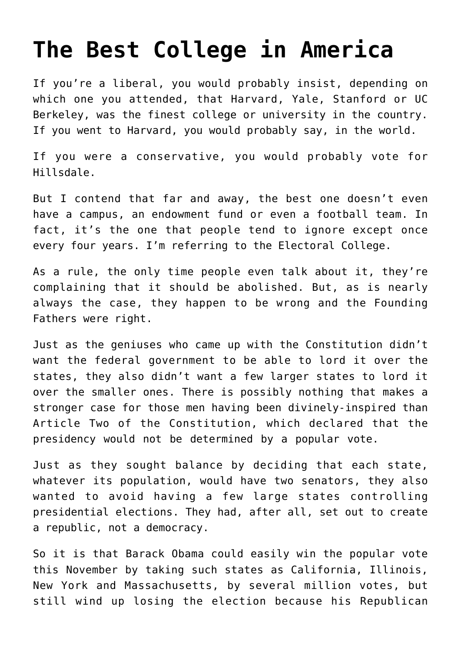## **[The Best College in America](https://bernardgoldberg.com/the-best-college-in-america/)**

If you're a liberal, you would probably insist, depending on which one you attended, that Harvard, Yale, Stanford or UC Berkeley, was the finest college or university in the country. If you went to Harvard, you would probably say, in the world.

If you were a conservative, you would probably vote for Hillsdale.

But I contend that far and away, the best one doesn't even have a campus, an endowment fund or even a football team. In fact, it's the one that people tend to ignore except once every four years. I'm referring to the Electoral College.

As a rule, the only time people even talk about it, they're complaining that it should be abolished. But, as is nearly always the case, they happen to be wrong and the Founding Fathers were right.

Just as the geniuses who came up with the Constitution didn't want the federal government to be able to lord it over the states, they also didn't want a few larger states to lord it over the smaller ones. There is possibly nothing that makes a stronger case for those men having been divinely-inspired than Article Two of the Constitution, which declared that the presidency would not be determined by a popular vote.

Just as they sought balance by deciding that each state, whatever its population, would have two senators, they also wanted to avoid having a few large states controlling presidential elections. They had, after all, set out to create a republic, not a democracy.

So it is that Barack Obama could easily win the popular vote this November by taking such states as California, Illinois, New York and Massachusetts, by several million votes, but still wind up losing the election because his Republican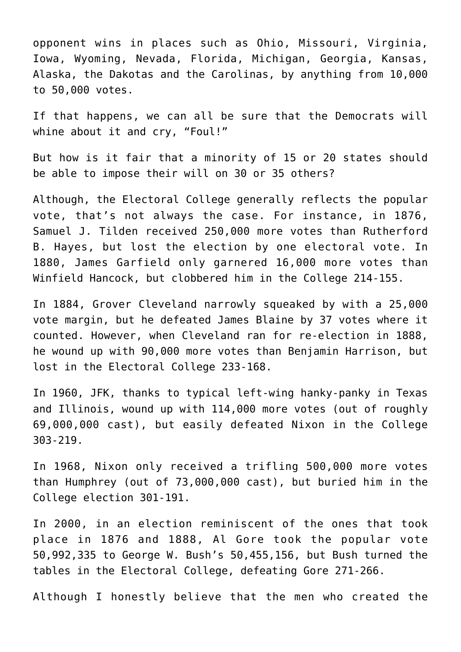opponent wins in places such as Ohio, Missouri, Virginia, Iowa, Wyoming, Nevada, Florida, Michigan, Georgia, Kansas, Alaska, the Dakotas and the Carolinas, by anything from 10,000 to 50,000 votes.

If that happens, we can all be sure that the Democrats will whine about it and cry, "Foul!"

But how is it fair that a minority of 15 or 20 states should be able to impose their will on 30 or 35 others?

Although, the Electoral College generally reflects the popular vote, that's not always the case. For instance, in 1876, Samuel J. Tilden received 250,000 more votes than Rutherford B. Hayes, but lost the election by one electoral vote. In 1880, James Garfield only garnered 16,000 more votes than Winfield Hancock, but clobbered him in the College 214-155.

In 1884, Grover Cleveland narrowly squeaked by with a 25,000 vote margin, but he defeated James Blaine by 37 votes where it counted. However, when Cleveland ran for re-election in 1888, he wound up with 90,000 more votes than Benjamin Harrison, but lost in the Electoral College 233-168.

In 1960, JFK, thanks to typical left-wing hanky-panky in Texas and Illinois, wound up with 114,000 more votes (out of roughly 69,000,000 cast), but easily defeated Nixon in the College 303-219.

In 1968, Nixon only received a trifling 500,000 more votes than Humphrey (out of 73,000,000 cast), but buried him in the College election 301-191.

In 2000, in an election reminiscent of the ones that took place in 1876 and 1888, Al Gore took the popular vote 50,992,335 to George W. Bush's 50,455,156, but Bush turned the tables in the Electoral College, defeating Gore 271-266.

Although I honestly believe that the men who created the